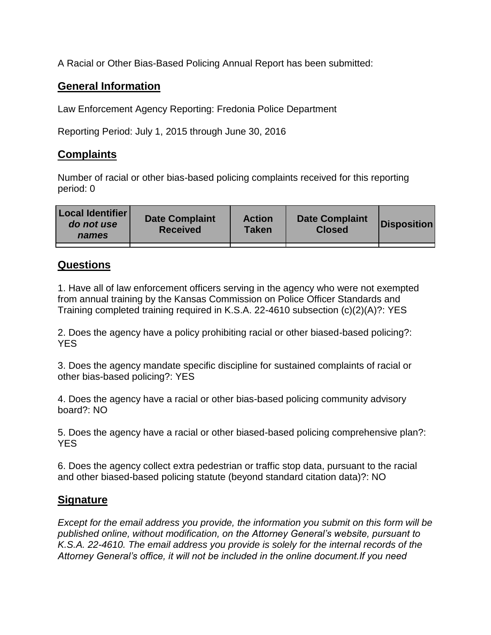A Racial or Other Bias-Based Policing Annual Report has been submitted:

## **General Information**

Law Enforcement Agency Reporting: Fredonia Police Department

Reporting Period: July 1, 2015 through June 30, 2016

## **Complaints**

Number of racial or other bias-based policing complaints received for this reporting period: 0

| <b>Local Identifier</b><br>do not use<br>names | <b>Date Complaint</b><br><b>Received</b> | <b>Action</b><br><b>Taken</b> | <b>Date Complaint</b><br><b>Closed</b> | Disposition |
|------------------------------------------------|------------------------------------------|-------------------------------|----------------------------------------|-------------|
|                                                |                                          |                               |                                        |             |

## **Questions**

1. Have all of law enforcement officers serving in the agency who were not exempted from annual training by the Kansas Commission on Police Officer Standards and Training completed training required in K.S.A. 22-4610 subsection (c)(2)(A)?: YES

2. Does the agency have a policy prohibiting racial or other biased-based policing?: YES

3. Does the agency mandate specific discipline for sustained complaints of racial or other bias-based policing?: YES

4. Does the agency have a racial or other bias-based policing community advisory board?: NO

5. Does the agency have a racial or other biased-based policing comprehensive plan?: YES

6. Does the agency collect extra pedestrian or traffic stop data, pursuant to the racial and other biased-based policing statute (beyond standard citation data)?: NO

## **Signature**

*Except for the email address you provide, the information you submit on this form will be published online, without modification, on the Attorney General's website, pursuant to K.S.A. 22-4610. The email address you provide is solely for the internal records of the Attorney General's office, it will not be included in the online document.If you need*